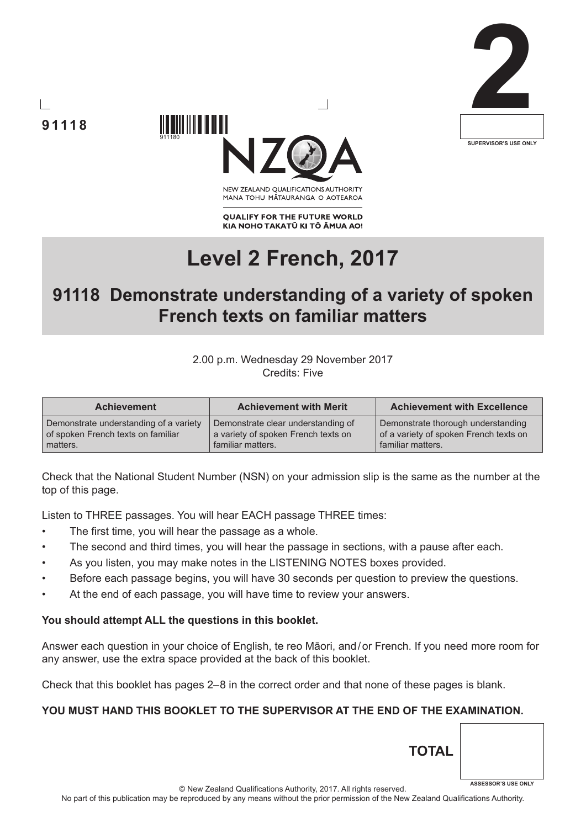





NEW ZEALAND OUALIFICATIONS AUTHORITY MANA TOHU MATAURANGA O AOTEAROA

**QUALIFY FOR THE FUTURE WORLD** KIA NOHO TAKATŪ KI TŌ ĀMUA AO!

# **Level 2 French, 2017**

## **91118 Demonstrate understanding of a variety of spoken French texts on familiar matters**

#### 2.00 p.m. Wednesday 29 November 2017 Credits: Five

| <b>Achievement</b>                     | <b>Achievement with Merit</b>       | <b>Achievement with Excellence</b>     |
|----------------------------------------|-------------------------------------|----------------------------------------|
| Demonstrate understanding of a variety | Demonstrate clear understanding of  | Demonstrate thorough understanding     |
| of spoken French texts on familiar     | a variety of spoken French texts on | of a variety of spoken French texts on |
| matters.                               | familiar matters.                   | familiar matters.                      |

Check that the National Student Number (NSN) on your admission slip is the same as the number at the top of this page.

Listen to THREE passages. You will hear EACH passage THREE times:

- The first time, you will hear the passage as a whole.
- The second and third times, you will hear the passage in sections, with a pause after each.
- As you listen, you may make notes in the LISTENING NOTES boxes provided.
- Before each passage begins, you will have 30 seconds per question to preview the questions.
- At the end of each passage, you will have time to review your answers.

#### **You should attempt ALL the questions in this booklet.**

Answer each question in your choice of English, te reo Māori, and/or French. If you need more room for any answer, use the extra space provided at the back of this booklet.

Check that this booklet has pages 2–8 in the correct order and that none of these pages is blank.

#### **YOU MUST HAND THIS BOOKLET TO THE SUPERVISOR AT THE END OF THE EXAMINATION.**

© New Zealand Qualifications Authority, 2017. All rights reserved. **ASSESSOR'S USE ONLY**

**TOTAL**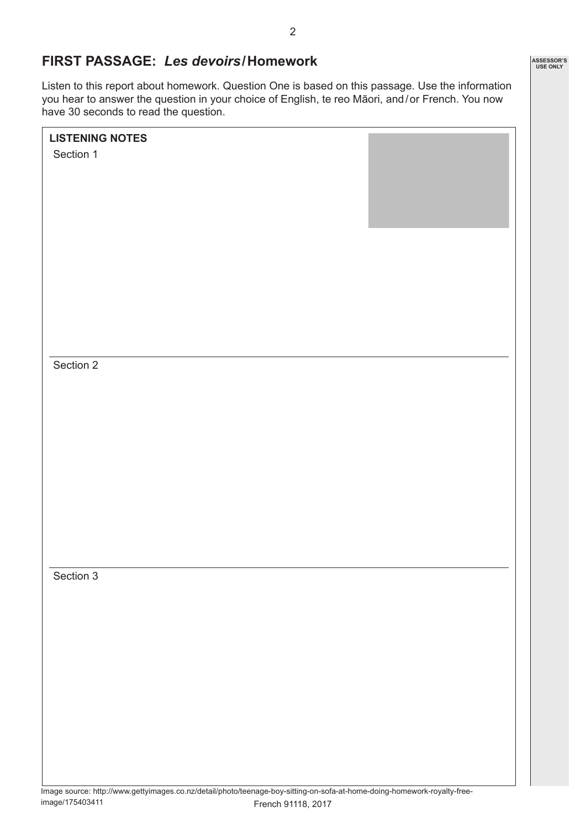## **FIRST PASSAGE:** *Les devoirs***/Homework**

Listen to this report about homework. Question One is based on this passage. Use the information you hear to answer the question in your choice of English, te reo Māori, and/or French. You now have 30 seconds to read the question.

| <b>LISTENING NOTES</b> |  |
|------------------------|--|
| Section 1              |  |
|                        |  |
|                        |  |
|                        |  |
|                        |  |
|                        |  |
|                        |  |
|                        |  |
|                        |  |
|                        |  |
|                        |  |
|                        |  |
| Section 2              |  |
|                        |  |
|                        |  |
|                        |  |
|                        |  |
|                        |  |
|                        |  |
|                        |  |
|                        |  |
|                        |  |
|                        |  |
| Section 3              |  |
|                        |  |
|                        |  |
|                        |  |
|                        |  |
|                        |  |
|                        |  |
|                        |  |
|                        |  |
|                        |  |
|                        |  |
|                        |  |

Image source: http://www.gettyimages.co.nz/detail/photo/teenage-boy-sitting-on-sofa-at-home-doing-homework-royalty-freeimage/175403411 French 91118, 2017

**ASSESSOR'S USE ONLY**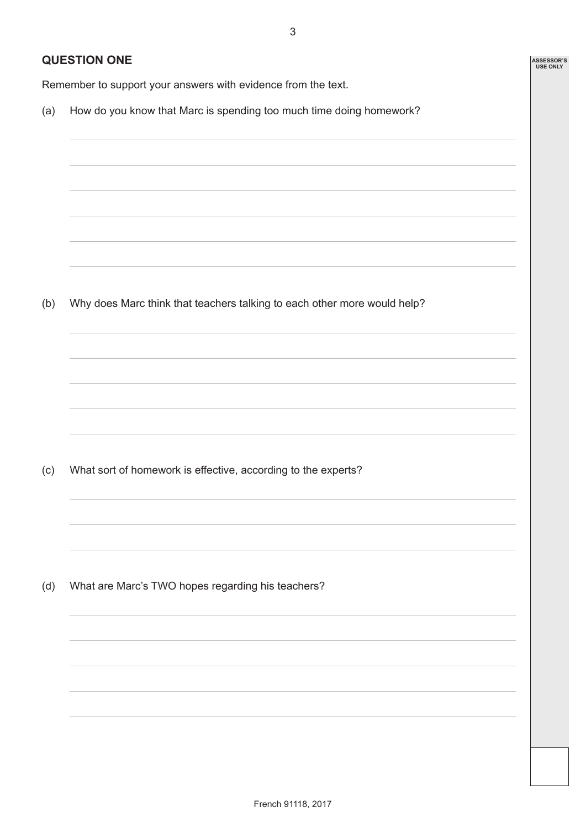3

**ASSESSOR'S USE ONLY**

## **QUESTION ONE**

Remember to support your answers with evidence from the text.

(a) How do you know that Marc is spending too much time doing homework?

(b) Why does Marc think that teachers talking to each other more would help?

(c) What sort of homework is effective, according to the experts?

(d) What are Marc's TWO hopes regarding his teachers?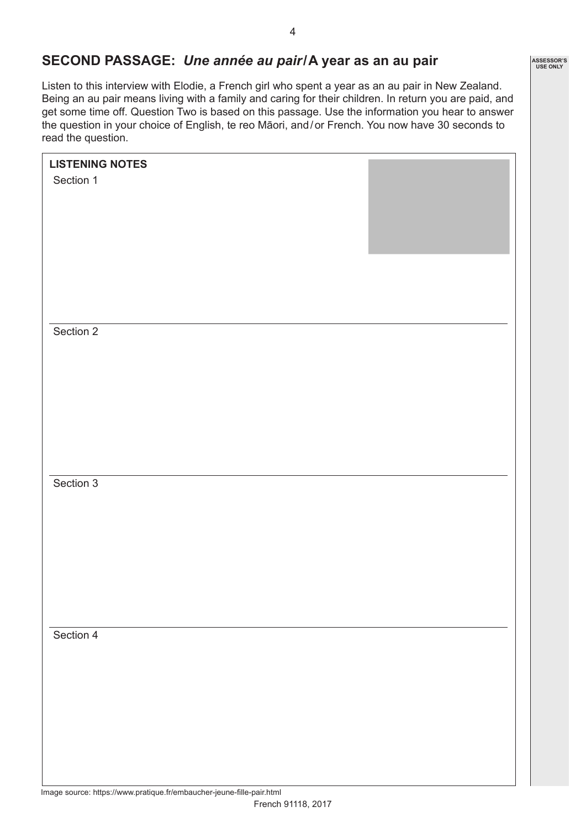## **SECOND PASSAGE:** *Une année au pair***/A year as an au pair**

Listen to this interview with Elodie, a French girl who spent a year as an au pair in New Zealand. Being an au pair means living with a family and caring for their children. In return you are paid, and get some time off. Question Two is based on this passage. Use the information you hear to answer the question in your choice of English, te reo Māori, and/or French. You now have 30 seconds to read the question.

| <b>LISTENING NOTES</b> |  |
|------------------------|--|
| Section 1              |  |
|                        |  |
|                        |  |
|                        |  |
|                        |  |
|                        |  |
|                        |  |
|                        |  |
|                        |  |
| Section 2              |  |
|                        |  |
|                        |  |
|                        |  |
|                        |  |
|                        |  |
|                        |  |
|                        |  |
|                        |  |
| Section 3              |  |
|                        |  |
|                        |  |
|                        |  |
|                        |  |
|                        |  |
|                        |  |
|                        |  |
|                        |  |
| Section 4              |  |
|                        |  |
|                        |  |
|                        |  |
|                        |  |
|                        |  |
|                        |  |
|                        |  |
|                        |  |
|                        |  |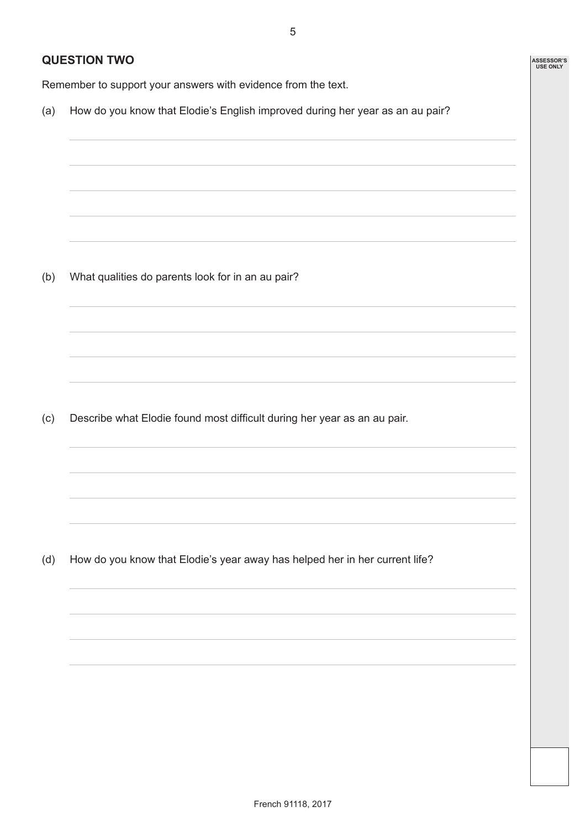5

**ASSESSOR'S USE ONLY**

## **QUESTION TWO**

Remember to support your answers with evidence from the text.

(a) How do you know that Elodie's English improved during her year as an au pair?

(b) What qualities do parents look for in an au pair?

(c) Describe what Elodie found most difficult during her year as an au pair.

(d) How do you know that Elodie's year away has helped her in her current life?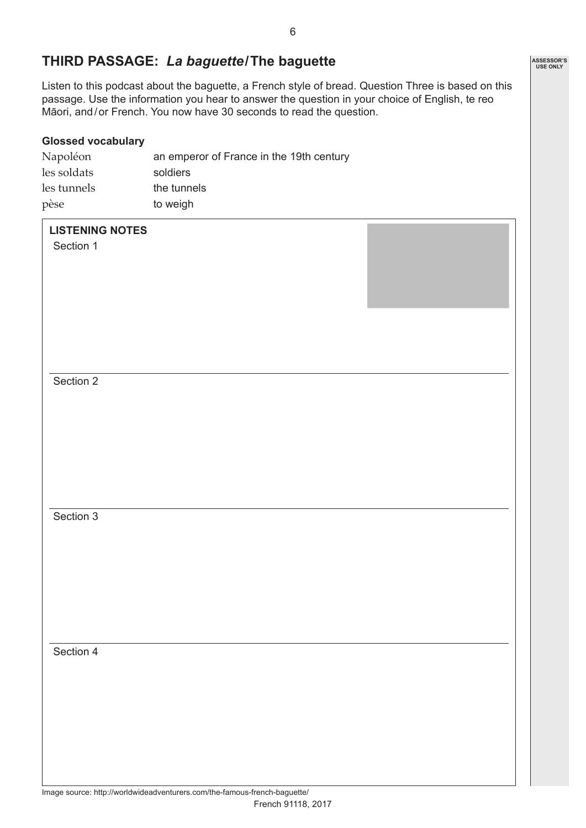Listen to this podcast about the baguette, a French style of bread. Question Three is based on this passage. Use the information you hear to answer the question in your choice of English, te reo

#### les soldats soldiers

**THIRD PASSAGE:** *La baguette***/The baguette**

Māori, and/or French. You now have 30 seconds to read the question.

Napoléon an emperor of France in the 19th century

les tunnels the tunnels pèse to weigh

#### **LISTENING NOTES**

**Glossed vocabulary**

Section 1

Section 2

Section 3

Section 4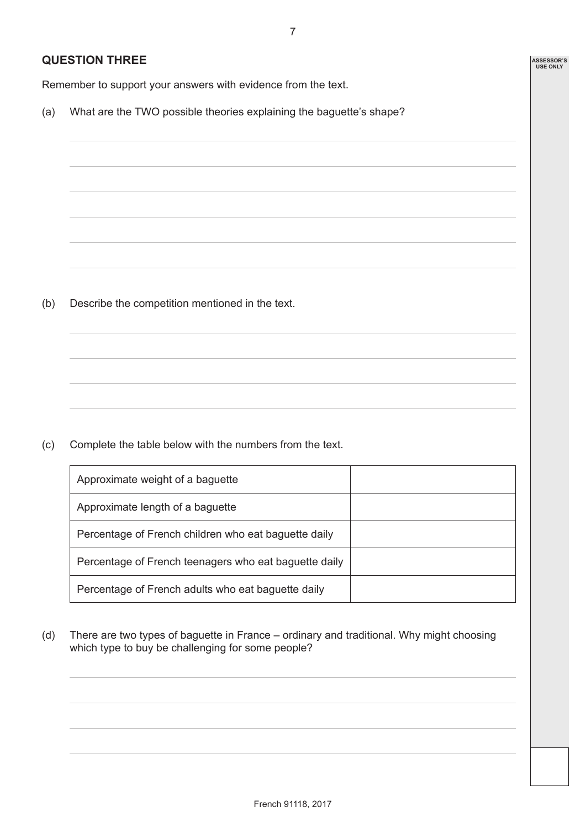7

**ASSESSOR'S USE ONLY**

## **QUESTION THREE**

Remember to support your answers with evidence from the text.

(a) What are the TWO possible theories explaining the baguette's shape?

(b) Describe the competition mentioned in the text.

(c) Complete the table below with the numbers from the text.

| Approximate weight of a baguette                      |  |
|-------------------------------------------------------|--|
| Approximate length of a baguette                      |  |
| Percentage of French children who eat baguette daily  |  |
| Percentage of French teenagers who eat baguette daily |  |
| Percentage of French adults who eat baguette daily    |  |

(d) There are two types of baguette in France – ordinary and traditional. Why might choosing which type to buy be challenging for some people?